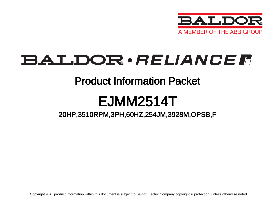

## BALDOR · RELIANCE F

### Product Information Packet

# EJMM2514T

20HP,3510RPM,3PH,60HZ,254JM,3928M,OPSB,F

Copyright © All product information within this document is subject to Baldor Electric Company copyright © protection, unless otherwise noted.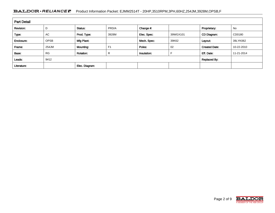#### BALDOR · RELIANCE F Product Information Packet: EJMM2514T - 20HP,3510RPM,3PH,60HZ,254JM,3928M,OPSB,F

| <b>Part Detail</b> |                             |                  |                |             |          |                      |            |  |  |
|--------------------|-----------------------------|------------------|----------------|-------------|----------|----------------------|------------|--|--|
| Revision:          | D                           | Status:          | PRD/A          | Change #:   |          | Proprietary:         | No         |  |  |
| Type:              | AC                          | Prod. Type:      | 3928M          | Elec. Spec: | 39WGX101 | CD Diagram:          | CD0180     |  |  |
| Enclosure:         | <b>OPSB</b>                 | Mfg Plant:       |                | Mech. Spec: | 39K62    | Layout:              | 39LYK062   |  |  |
| Frame:             | 254JM                       | Mounting:        | F <sub>1</sub> | Poles:      | 02       | <b>Created Date:</b> | 10-22-2010 |  |  |
| Base:              | <b>RG</b>                   | <b>Rotation:</b> | R              | Insulation: |          | Eff. Date:           | 11-21-2014 |  |  |
| Leads:             | 9#12<br><b>Replaced By:</b> |                  |                |             |          |                      |            |  |  |
| Literature:        |                             | Elec. Diagram:   |                |             |          |                      |            |  |  |

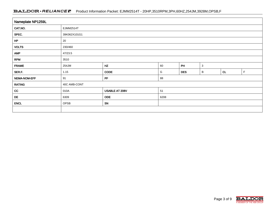#### BALDOR · RELIANCE F Product Information Packet: EJMM2514T - 20HP,3510RPM,3PH,60HZ,254JM,3928M,OPSB,F

| Nameplate NP1259L |                                         |                |      |            |   |    |             |  |  |
|-------------------|-----------------------------------------|----------------|------|------------|---|----|-------------|--|--|
| CAT.NO.           | EJMM2514T                               |                |      |            |   |    |             |  |  |
| SPEC.             | 39K062X101G1                            |                |      |            |   |    |             |  |  |
| HP                | 20                                      |                |      |            |   |    |             |  |  |
| <b>VOLTS</b>      | 230/460                                 |                |      |            |   |    |             |  |  |
| <b>AMP</b>        | 47/23.5                                 |                |      |            |   |    |             |  |  |
| <b>RPM</b>        | 3510                                    |                |      |            |   |    |             |  |  |
| <b>FRAME</b>      | HZ<br>PH<br>$\mathbf{3}$<br>254JM<br>60 |                |      |            |   |    |             |  |  |
| SER.F.            | 1.15                                    | CODE           | G    | <b>DES</b> | B | CL | $\mathsf F$ |  |  |
| NEMA-NOM-EFF      | 91                                      | PF             | 88   |            |   |    |             |  |  |
| <b>RATING</b>     | 40C AMB-CONT                            |                |      |            |   |    |             |  |  |
| cc                | 010A                                    | USABLE AT 208V | 51   |            |   |    |             |  |  |
| DE                | 6309                                    | <b>ODE</b>     | 6208 |            |   |    |             |  |  |
| <b>ENCL</b>       | OPSB                                    | SN             |      |            |   |    |             |  |  |
|                   |                                         |                |      |            |   |    |             |  |  |

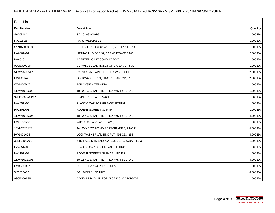| <b>Parts List</b> |                                          |          |  |  |  |  |
|-------------------|------------------------------------------|----------|--|--|--|--|
| Part Number       | Description                              | Quantity |  |  |  |  |
| SA205184          | SA 39K062X101G1                          | 1.000 EA |  |  |  |  |
| RA192426          | RA 39K062X101G1                          | 1.000 EA |  |  |  |  |
| S/P107-000-005    | SUPER-E PROC'S(254/6 FR.) ZK PLANT - POL | 1.000 EA |  |  |  |  |
| HA6361A01         | LIFTING LUG FOR 37, 39 & 40 FRAME ZINC   | 2.000 EA |  |  |  |  |
| HA6016            | ADAPTER, CAST CONDUIT BOX                | 1.000 EA |  |  |  |  |
| 09CB3002SP        | CB W/1.38 LEAD HOLE FOR 37, 39, 307 & 30 | 1.000 EA |  |  |  |  |
| 51XW2520A12       | .25-20 X .75, TAPTITE II, HEX WSHR SLTD  | 2.000 EA |  |  |  |  |
| HW1001A25         | LOCKWASHER 1/4, ZINC PLT .493 OD, .255 I | 2.000 EA |  |  |  |  |
| WD1000B17         | <b>T&amp;B CX35TN TERMINAL</b>           | 1.000 EA |  |  |  |  |
| 11XW1032G06       | 10-32 X .38, TAPTITE II, HEX WSHR SLTD U | 1.000 EA |  |  |  |  |
| 39EP3200A01SP     | FR/PU ENDPLATE, MACH                     | 1.000 EA |  |  |  |  |
| HA4051A00         | PLASTIC CAP FOR GREASE FITTING           | 1.000 EA |  |  |  |  |
| HA1101A01         | RODENT SCREEN, 39 MTR                    | 1.000 EA |  |  |  |  |
| 11XW1032G06       | 10-32 X .38, TAPTITE II, HEX WSHR SLTD U | 4.000 EA |  |  |  |  |
| HW5100A08         | W3118-035 WVY WSHR (WB)                  | 1.000 EA |  |  |  |  |
| 10XN2520K28       | 1/4-20 X 1.75" HX HD SCRWGRADE 5, ZINC P | 4.000 EA |  |  |  |  |
| HW1001A25         | LOCKWASHER 1/4, ZINC PLT .493 OD, .255 I | 4.000 EA |  |  |  |  |
| 39EP3400A02       | STD FACE MTD ENDPLATE 309 BRG W/BAFFLE & | 1.000 EA |  |  |  |  |
| HA4051A00         | PLASTIC CAP FOR GREASE FITTING           | 1.000 EA |  |  |  |  |
| HA1101A03         | RODENT SCREEN, 39 FACE MTD.E.P.          | 1.000 EA |  |  |  |  |
| 11XW1032G06       | 10-32 X .38, TAPTITE II, HEX WSHR SLTD U | 4.000 EA |  |  |  |  |
| HW4600B67         | FORSHEDA #V45A FACE SEAL                 | 1.000 EA |  |  |  |  |
| XY3816A12         | 3/8-16 FINISHED NUT                      | 8.000 EA |  |  |  |  |
| 09CB3501SP        | CONDUIT BOX LID FOR 09CB3001 & 09CB3002  | 1.000 EA |  |  |  |  |

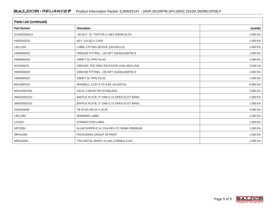| <b>Parts List (continued)</b> |                                          |          |  |  |  |  |
|-------------------------------|------------------------------------------|----------|--|--|--|--|
| <b>Part Number</b>            | <b>Description</b>                       | Quantity |  |  |  |  |
| 51XW2520A12                   | .25-20 X .75, TAPTITE II, HEX WSHR SLTD  | 2.000 EA |  |  |  |  |
| HW2501E18                     | KEY, 1/4 SQ X 2.000                      | 1.000 EA |  |  |  |  |
| LB1115N                       | LABEL, LIFTING DEVICE (ON ROLLS)         | 1.000 EA |  |  |  |  |
| HW4500A03                     | GREASE FITTING, .125 NPT 1610(ALEMITE) 8 | 1.000 EA |  |  |  |  |
| HW4500A20                     | 1/8NPT SL PIPE PLUG                      | 1.000 EA |  |  |  |  |
| MJ1000A75                     | GREASE, POLYREX EM EXXON (USe 4824-15A)  | 0.030 LB |  |  |  |  |
| HW4500A03                     | GREASE FITTING, .125 NPT 1610(ALEMITE) 8 | 1.000 EA |  |  |  |  |
| HW4500A20                     | 1/8NPT SL PIPE PLUG                      | 1.000 EA |  |  |  |  |
| MG1000Y03                     | MUNSELL 2.53Y 6.70/ 4.60, GLOSS 20,      | 0.050 GA |  |  |  |  |
| 85XU0407S04                   | 4X1/4 U DRIVE PIN STAINLESS              | 2.000 EA |  |  |  |  |
| 39AD2002C01                   | BAFFLE PLATE,"X" DIM=2.12 OPEN SLOT BAND | 1.000 EA |  |  |  |  |
| 39AD2002C01                   | BAFFLE PLATE,"X" DIM=2.12 OPEN SLOT BAND | 1.000 EA |  |  |  |  |
| HA3154A09                     | TB STUD 3/8-16 X 16.25                   | 4.000 EA |  |  |  |  |
| LB1119N                       | <b>WARNING LABEL</b>                     | 1.000 EA |  |  |  |  |
| LC0181                        | <b>CONNECTION LABEL</b>                  | 1.000 EA |  |  |  |  |
| <b>NP1259L</b>                | ALUM SUPER-E UL CSA-EEV CC NEMA PREMIUM  | 1.000 EA |  |  |  |  |
| 39PA1000                      | PACKAGING GROUP 39 PRINT                 | 1.000 EA |  |  |  |  |
| MN416A01                      | TAG-INSTAL-MAINT no wire (1200/bx) 11/14 | 1.000 EA |  |  |  |  |

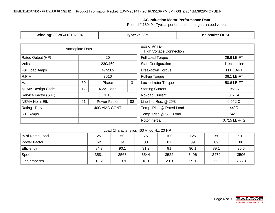#### **AC Induction Motor Performance Data**

Record # 13049 - Typical performance - not guaranteed values

| Winding: 39WGX101-R004  |                           |              | <b>Type: 3928M</b>                              | <b>Enclosure: OPSB</b>     |                |  |
|-------------------------|---------------------------|--------------|-------------------------------------------------|----------------------------|----------------|--|
| Nameplate Data          |                           |              | 460 V, 60 Hz:<br><b>High Voltage Connection</b> |                            |                |  |
| Rated Output (HP)<br>20 |                           |              |                                                 | <b>Full Load Torque</b>    | 29.6 LB-FT     |  |
| <b>Volts</b>            |                           | 230/460      |                                                 | <b>Start Configuration</b> | direct on line |  |
| <b>Full Load Amps</b>   |                           | 47/23.5      |                                                 | <b>Breakdown Torque</b>    | 111 LB-FT      |  |
| R.P.M.                  |                           | 3510         |                                                 | Pull-up Torque             | 36.1 LB-FT     |  |
| Hz                      | 3<br>60<br>Phase          |              | Locked-rotor Torque                             | 50.6 LB-FT                 |                |  |
| NEMA Design Code        | G<br>В<br><b>KVA Code</b> |              | <b>Starting Current</b>                         | 153 A                      |                |  |
| Service Factor (S.F.)   |                           | 1.15         |                                                 | No-load Current            | 8.61 A         |  |
| NEMA Nom. Eff.          |                           | Power Factor | 88                                              | Line-line Res. @ 25°C      | $0.512 \Omega$ |  |
| <b>Rating - Duty</b>    |                           | 40C AMB-CONT |                                                 | Temp. Rise @ Rated Load    | $44^{\circ}$ C |  |
| S.F. Amps               |                           |              |                                                 | Temp. Rise @ S.F. Load     | $54^{\circ}$ C |  |
|                         |                           |              |                                                 | Rotor inertia              | 0.715 LB-FT2   |  |

#### Load Characteristics 460 V, 60 Hz, 20 HP

| % of Rated Load | 25   | 50   | 75   | 100  | 125  | 150  | S.F.  |
|-----------------|------|------|------|------|------|------|-------|
| Power Factor    | 52   | 74   | 83   | 87   | 89   | 89   | 88    |
| Efficiency      | 84.7 | 90.1 | 91.2 | 91   | 90.1 | 89.1 | 90.5  |
| Speed           | 3581 | 3563 | 3544 | 3522 | 3496 | 3472 | 3506  |
| Line amperes    | 10.2 | 13.9 | 18.1 | 23.3 | 29.1 | 35   | 26.78 |

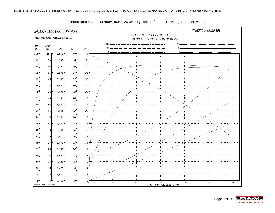

Performance Graph at 460V, 60Hz, 20.0HP Typical performance - Not guaranteed values

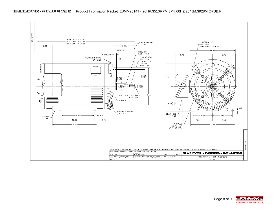